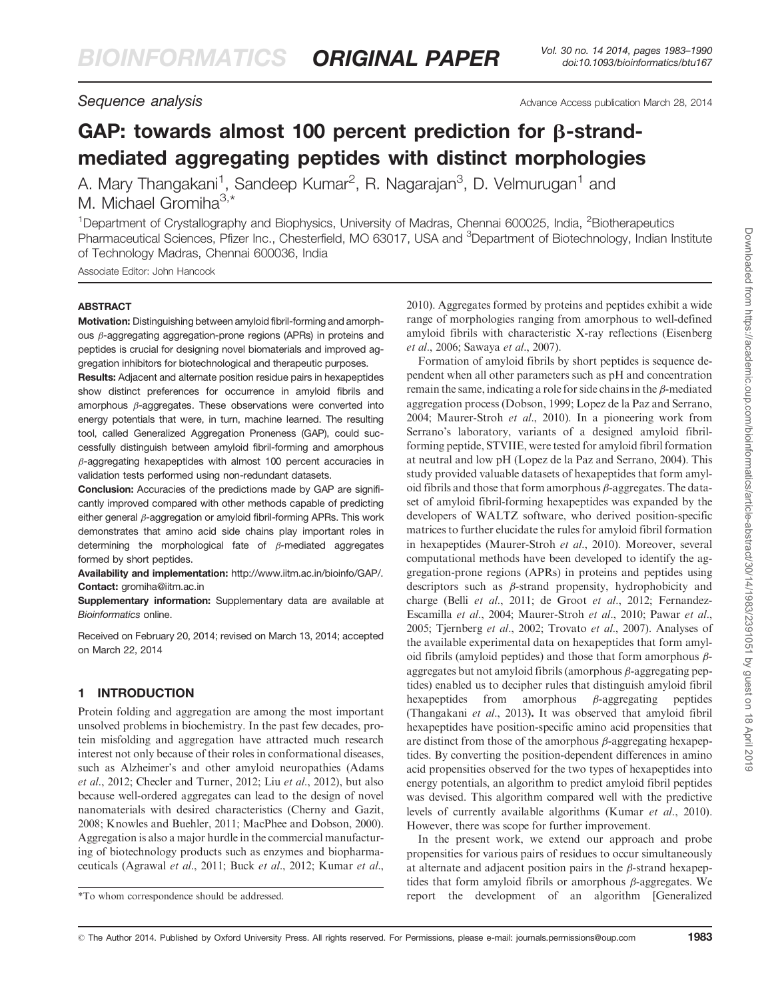Sequence analysis and the second second terms of the Advance Access publication March 28, 2014

# GAP: towards almost 100 percent prediction for  $\beta$ -strandmediated aggregating peptides with distinct morphologies

A. Mary Thangakani<sup>1</sup>, Sandeep Kumar<sup>2</sup>, R. Nagarajan<sup>3</sup>, D. Velmurugan<sup>1</sup> and M. Michael Gromiha $3, *$ 

<sup>1</sup>Department of Crystallography and Biophysics, University of Madras, Chennai 600025, India, <sup>2</sup>Biotherapeutics Pharmaceutical Sciences, Pfizer Inc., Chesterfield, MO 63017, USA and <sup>3</sup>Department of Biotechnology, Indian Institute of Technology Madras, Chennai 600036, India

Associate Editor: John Hancock

#### ABSTRACT

Motivation: Distinguishing between amyloid fibril-forming and amorphous  $\beta$ -aggregating aggregation-prone regions (APRs) in proteins and peptides is crucial for designing novel biomaterials and improved aggregation inhibitors for biotechnological and therapeutic purposes.

Results: Adjacent and alternate position residue pairs in hexapeptides show distinct preferences for occurrence in amyloid fibrils and amorphous  $\beta$ -aggregates. These observations were converted into energy potentials that were, in turn, machine learned. The resulting tool, called Generalized Aggregation Proneness (GAP), could successfully distinguish between amyloid fibril-forming and amorphous  $\beta$ -aggregating hexapeptides with almost 100 percent accuracies in validation tests performed using non-redundant datasets.

Conclusion: Accuracies of the predictions made by GAP are significantly improved compared with other methods capable of predicting either general  $\beta$ -aggregation or amyloid fibril-forming APRs. This work demonstrates that amino acid side chains play important roles in determining the morphological fate of  $\beta$ -mediated aggregates formed by short peptides.

Availability and implementation: <http://www.iitm.ac.in/bioinfo/GAP/>. Contact: [gromiha@iitm.ac.in](mailto:gromiha@iitm.ac.in)

Supplementary information: [Supplementary data](http://bioinformatics.oxfordjournals.org/lookup/suppl/doi:10.1093/bioinformatics/btu167/-/DC1) are available at Bioinformatics online.

Received on February 20, 2014; revised on March 13, 2014; accepted on March 22, 2014

# 1 INTRODUCTION

Protein folding and aggregation are among the most important unsolved problems in biochemistry. In the past few decades, protein misfolding and aggregation have attracted much research interest not only because of their roles in conformational diseases, such as Alzheimer's and other amyloid neuropathies [\(Adams](#page-6-0) et al[., 2012;](#page-6-0) [Checler and Turner, 2012](#page-7-0); Liu et al.[, 2012\)](#page-7-0), but also because well-ordered aggregates can lead to the design of novel nanomaterials with desired characteristics [\(Cherny and Gazit,](#page-7-0) [2008](#page-7-0); [Knowles and Buehler, 2011](#page-7-0); [MacPhee and Dobson, 2000\)](#page-7-0). Aggregation is also a major hurdle in the commercial manufacturing of biotechnology products such as enzymes and biopharmaceuticals [\(Agrawal](#page-6-0) et al., 2011; Buck et al.[, 2012; Kumar](#page-7-0) et al., [2010](#page-7-0)). Aggregates formed by proteins and peptides exhibit a wide range of morphologies ranging from amorphous to well-defined amyloid fibrils with characteristic X-ray reflections [\(Eisenberg](#page-7-0) et al.[, 2006](#page-7-0); [Sawaya](#page-7-0) et al., 2007).

Formation of amyloid fibrils by short peptides is sequence dependent when all other parameters such as pH and concentration remain the same, indicating a role for side chains in the  $\beta$ -mediated aggregation process [\(Dobson, 1999; Lopez de la Paz and Serrano,](#page-7-0) [2004](#page-7-0); [Maurer-Stroh](#page-7-0) et al., 2010). In a pioneering work from Serrano's laboratory, variants of a designed amyloid fibrilforming peptide, STVIIE, were tested for amyloid fibril formation at neutral and low pH [\(Lopez de la Paz and Serrano, 2004\)](#page-7-0). This study provided valuable datasets of hexapeptides that form amyloid fibrils and those that form amorphous  $\beta$ -aggregates. The dataset of amyloid fibril-forming hexapeptides was expanded by the developers of WALTZ software, who derived position-specific matrices to further elucidate the rules for amyloid fibril formation in hexapeptides [\(Maurer-Stroh](#page-7-0) et al., 2010). Moreover, several computational methods have been developed to identify the aggregation-prone regions (APRs) in proteins and peptides using descriptors such as  $\beta$ -strand propensity, hydrophobicity and charge (Belli et al.[, 2011;](#page-6-0) [de Groot](#page-7-0) et al., 2012; [Fernandez-](#page-7-0)[Escamilla](#page-7-0) et al., 2004; [Maurer-Stroh](#page-7-0) et al., 2010; [Pawar](#page-7-0) et al., [2005](#page-7-0); [Tjernberg](#page-7-0) et al., 2002; [Trovato](#page-7-0) et al., 2007). Analyses of the available experimental data on hexapeptides that form amyloid fibrils (amyloid peptides) and those that form amorphous  $\beta$ aggregates but not amyloid fibrils (amorphous  $\beta$ -aggregating peptides) enabled us to decipher rules that distinguish amyloid fibril hexapeptides from amorphous  $\beta$ -aggregating peptides ([Thangakani](#page-7-0) et al., 2013). It was observed that amyloid fibril hexapeptides have position-specific amino acid propensities that are distinct from those of the amorphous  $\beta$ -aggregating hexapeptides. By converting the position-dependent differences in amino acid propensities observed for the two types of hexapeptides into energy potentials, an algorithm to predict amyloid fibril peptides was devised. This algorithm compared well with the predictive levels of currently available algorithms [\(Kumar](#page-7-0) et al., 2010). However, there was scope for further improvement.

In the present work, we extend our approach and probe propensities for various pairs of residues to occur simultaneously at alternate and adjacent position pairs in the  $\beta$ -strand hexapeptides that form amyloid fibrils or amorphous  $\beta$ -aggregates. We \*To whom correspondence should be addressed. report the development of an algorithm [Generalized

© The Author 2014. Published by Oxford University Press. All rights reserved. For Permissions, please e-mail: journals.permissions@oup.com **1983**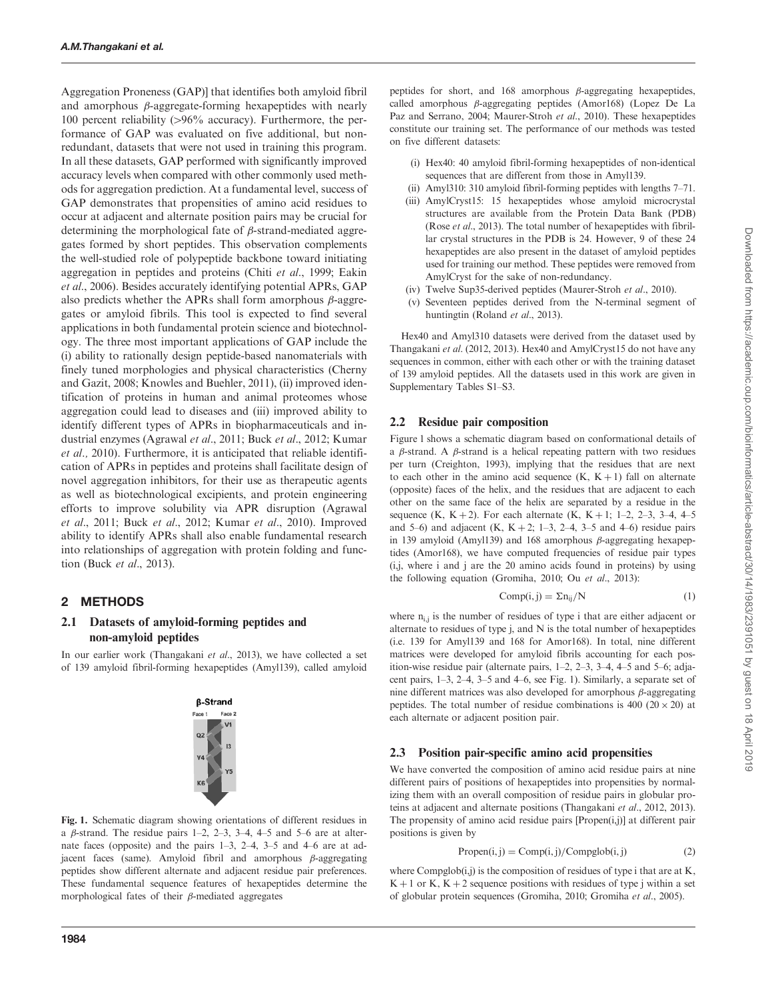Aggregation Proneness (GAP)] that identifies both amyloid fibril and amorphous  $\beta$ -aggregate-forming hexapeptides with nearly 100 percent reliability  $(>96\%$  accuracy). Furthermore, the performance of GAP was evaluated on five additional, but nonredundant, datasets that were not used in training this program. In all these datasets, GAP performed with significantly improved accuracy levels when compared with other commonly used methods for aggregation prediction. At a fundamental level, success of GAP demonstrates that propensities of amino acid residues to occur at adjacent and alternate position pairs may be crucial for determining the morphological fate of  $\beta$ -strand-mediated aggregates formed by short peptides. This observation complements the well-studied role of polypeptide backbone toward initiating aggregation in peptides and proteins (Chiti et al.[, 1999](#page-7-0); [Eakin](#page-7-0) et al.[, 2006\)](#page-7-0). Besides accurately identifying potential APRs, GAP also predicts whether the APRs shall form amorphous  $\beta$ -aggregates or amyloid fibrils. This tool is expected to find several applications in both fundamental protein science and biotechnology. The three most important applications of GAP include the (i) ability to rationally design peptide-based nanomaterials with finely tuned morphologies and physical characteristics ([Cherny](#page-7-0) [and Gazit, 2008](#page-7-0); [Knowles and Buehler, 2011\)](#page-7-0), (ii) improved identification of proteins in human and animal proteomes whose aggregation could lead to diseases and (iii) improved ability to identify different types of APRs in biopharmaceuticals and industrial enzymes [\(Agrawal](#page-6-0) et al., 2011; Buck et al.[, 2012](#page-7-0); [Kumar](#page-7-0) [et al.,](#page-7-0) 2010). Furthermore, it is anticipated that reliable identification of APRs in peptides and proteins shall facilitate design of novel aggregation inhibitors, for their use as therapeutic agents as well as biotechnological excipients, and protein engineering efforts to improve solubility via APR disruption [\(Agrawal](#page-6-0) et al.[, 2011;](#page-6-0) Buck et al.[, 2012](#page-7-0); [Kumar](#page-7-0) et al., 2010). Improved ability to identify APRs shall also enable fundamental research into relationships of aggregation with protein folding and function (Buck et al.[, 2013](#page-6-0)).

# 2 METHODS

### 2.1 Datasets of amyloid-forming peptides and non-amyloid peptides

In our earlier work [\(Thangakani](#page-7-0) et al., 2013), we have collected a set of 139 amyloid fibril-forming hexapeptides (Amyl139), called amyloid



Fig. 1. Schematic diagram showing orientations of different residues in a  $\beta$ -strand. The residue pairs 1–2, 2–3, 3–4, 4–5 and 5–6 are at alternate faces (opposite) and the pairs 1–3, 2–4, 3–5 and 4–6 are at adjacent faces (same). Amyloid fibril and amorphous  $\beta$ -aggregating peptides show different alternate and adjacent residue pair preferences. These fundamental sequence features of hexapeptides determine the morphological fates of their  $\beta$ -mediated aggregates

peptides for short, and 168 amorphous  $\beta$ -aggregating hexapeptides, called amorphous  $\beta$ -aggregating peptides (Amor168) [\(Lopez De La](#page-7-0) [Paz and Serrano, 2004; Maurer-Stroh](#page-7-0) et al., 2010). These hexapeptides constitute our training set. The performance of our methods was tested on five different datasets:

- (i) Hex40: 40 amyloid fibril-forming hexapeptides of non-identical sequences that are different from those in Amyl139.
- (ii) Amyl310: 310 amyloid fibril-forming peptides with lengths 7–71.
- (iii) AmylCryst15: 15 hexapeptides whose amyloid microcrystal structures are available from the Protein Data Bank (PDB) (Rose et al.[, 2013](#page-7-0)). The total number of hexapeptides with fibrillar crystal structures in the PDB is 24. However, 9 of these 24 hexapeptides are also present in the dataset of amyloid peptides used for training our method. These peptides were removed from AmylCryst for the sake of non-redundancy.
- (iv) Twelve Sup35-derived peptides [\(Maurer-Stroh](#page-7-0) et al., 2010).
- (v) Seventeen peptides derived from the N-terminal segment of huntingtin ([Roland](#page-7-0) et al., 2013).

Hex40 and Amyl310 datasets were derived from the dataset used by Thangakani et al. [\(2012, 2013](#page-7-0)). Hex40 and AmylCryst15 do not have any sequences in common, either with each other or with the training dataset of 139 amyloid peptides. All the datasets used in this work are given in [Supplementary Tables S1–S3.](http://bioinformatics.oxfordjournals.org/lookup/suppl/doi:10.1093/bioinformatics/btu167/-/DC1)

### 2.2 Residue pair composition

Figure 1 shows a schematic diagram based on conformational details of a  $\beta$ -strand. A  $\beta$ -strand is a helical repeating pattern with two residues per turn [\(Creighton, 1993](#page-7-0)), implying that the residues that are next to each other in the amino acid sequence  $(K, K + 1)$  fall on alternate (opposite) faces of the helix, and the residues that are adjacent to each other on the same face of the helix are separated by a residue in the sequence (K, K + 2). For each alternate (K, K + 1; 1–2, 2–3, 3–4, 4–5 and 5–6) and adjacent (K,  $K + 2$ ; 1–3, 2–4, 3–5 and 4–6) residue pairs in 139 amyloid (Amyl139) and 168 amorphous  $\beta$ -aggregating hexapeptides (Amor168), we have computed frequencies of residue pair types (i,j, where i and j are the 20 amino acids found in proteins) by using the following equation [\(Gromiha, 2010;](#page-7-0) Ou et al.[, 2013\)](#page-7-0):

$$
Comp(i,j) = \Sigma n_{ij}/N \tag{1}
$$

where  $n_{i,j}$  is the number of residues of type i that are either adjacent or alternate to residues of type j, and N is the total number of hexapeptides (i.e. 139 for Amyl139 and 168 for Amor168). In total, nine different matrices were developed for amyloid fibrils accounting for each position-wise residue pair (alternate pairs, 1–2, 2–3, 3–4, 4–5 and 5–6; adjacent pairs, 1–3, 2–4, 3–5 and 4–6, see Fig. 1). Similarly, a separate set of nine different matrices was also developed for amorphous  $\beta$ -aggregating peptides. The total number of residue combinations is 400  $(20 \times 20)$  at each alternate or adjacent position pair.

### 2.3 Position pair-specific amino acid propensities

We have converted the composition of amino acid residue pairs at nine different pairs of positions of hexapeptides into propensities by normalizing them with an overall composition of residue pairs in globular proteins at adjacent and alternate positions ([Thangakani](#page-7-0) et al., 2012, [2013\)](#page-7-0). The propensity of amino acid residue pairs [Propen(i,j)] at different pair positions is given by

$$
Propen(i, j) = Comp(i, j) / Compglob(i, j)
$$
 (2)

where  $Compglob(i,j)$  is the composition of residues of type i that are at  $K$ ,  $K + 1$  or K,  $K + 2$  sequence positions with residues of type j within a set of globular protein sequences [\(Gromiha, 2010; Gromiha](#page-7-0) et al., 2005).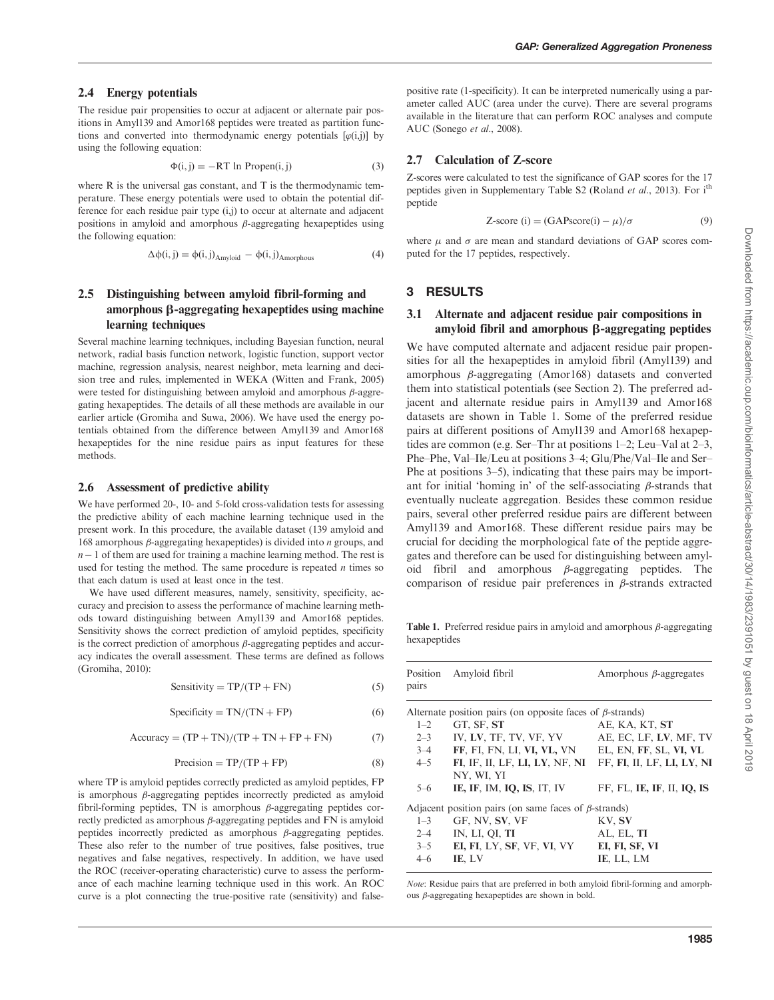#### <span id="page-2-0"></span>2.4 Energy potentials

The residue pair propensities to occur at adjacent or alternate pair positions in Amyl139 and Amor168 peptides were treated as partition functions and converted into thermodynamic energy potentials  $[\varphi(i,j)]$  by using the following equation:

$$
\Phi(i,j) = -RT \ln \text{Propen}(i,j) \tag{3}
$$

where R is the universal gas constant, and T is the thermodynamic temperature. These energy potentials were used to obtain the potential difference for each residue pair type (i,j) to occur at alternate and adjacent positions in amyloid and amorphous  $\beta$ -aggregating hexapeptides using the following equation:

$$
\Delta \phi(i,j) = \phi(i,j)_{\text{Amyloid}} - \phi(i,j)_{\text{Amorphous}} \tag{4}
$$

#### 2.5 Distinguishing between amyloid fibril-forming and amorphous  $\beta$ -aggregating hexapeptides using machine learning techniques

Several machine learning techniques, including Bayesian function, neural network, radial basis function network, logistic function, support vector machine, regression analysis, nearest neighbor, meta learning and decision tree and rules, implemented in WEKA [\(Witten and Frank, 2005](#page-7-0)) were tested for distinguishing between amyloid and amorphous  $\beta$ -aggregating hexapeptides. The details of all these methods are available in our earlier article ([Gromiha and Suwa, 2006\)](#page-7-0). We have used the energy potentials obtained from the difference between Amyl139 and Amor168 hexapeptides for the nine residue pairs as input features for these methods.

#### 2.6 Assessment of predictive ability

We have performed 20-, 10- and 5-fold cross-validation tests for assessing the predictive ability of each machine learning technique used in the present work. In this procedure, the available dataset (139 amyloid and 168 amorphous  $\beta$ -aggregating hexapeptides) is divided into *n* groups, and  $n-1$  of them are used for training a machine learning method. The rest is used for testing the method. The same procedure is repeated  $n$  times so that each datum is used at least once in the test.

We have used different measures, namely, sensitivity, specificity, accuracy and precision to assess the performance of machine learning methods toward distinguishing between Amyl139 and Amor168 peptides. Sensitivity shows the correct prediction of amyloid peptides, specificity is the correct prediction of amorphous  $\beta$ -aggregating peptides and accuracy indicates the overall assessment. These terms are defined as follows [\(Gromiha, 2010\)](#page-7-0):

$$
Sensitivity = TP/(TP + FN)
$$
 (5)

$$
Specificity = TN/(TN + FP)
$$
 (6)

$$
Accuracy = (TP + TN)/(TP + TN + FP + FN)
$$
 (7)

$$
Precision = TP/(TP + FP)
$$
 (8)

where TP is amyloid peptides correctly predicted as amyloid peptides, FP is amorphous  $\beta$ -aggregating peptides incorrectly predicted as amyloid fibril-forming peptides, TN is amorphous  $\beta$ -aggregating peptides correctly predicted as amorphous  $\beta$ -aggregating peptides and FN is amyloid peptides incorrectly predicted as amorphous  $\beta$ -aggregating peptides. These also refer to the number of true positives, false positives, true negatives and false negatives, respectively. In addition, we have used the ROC (receiver-operating characteristic) curve to assess the performance of each machine learning technique used in this work. An ROC curve is a plot connecting the true-positive rate (sensitivity) and false-

positive rate (1-specificity). It can be interpreted numerically using a parameter called AUC (area under the curve). There are several programs available in the literature that can perform ROC analyses and compute AUC [\(Sonego](#page-7-0) et al., 2008).

#### 2.7 Calculation of Z-score

Z-scores were calculated to test the significance of GAP scores for the 17 peptides given in [Supplementary Table S2](http://bioinformatics.oxfordjournals.org/lookup/suppl/doi:10.1093/bioinformatics/btu167/-/DC1) [\(Roland](#page-7-0) *et al.*, 2013). For i<sup>th</sup> peptide

$$
Z\text{-score (i)} = (GAPscore(i) - \mu)/\sigma \tag{9}
$$

where  $\mu$  and  $\sigma$  are mean and standard deviations of GAP scores computed for the 17 peptides, respectively.

#### 3 RESULTS

#### 3.1 Alternate and adjacent residue pair compositions in amyloid fibril and amorphous  $\beta$ -aggregating peptides

We have computed alternate and adjacent residue pair propensities for all the hexapeptides in amyloid fibril (Amyl139) and amorphous  $\beta$ -aggregating (Amor168) datasets and converted them into statistical potentials (see Section 2). The preferred adjacent and alternate residue pairs in Amyl139 and Amor168 datasets are shown in Table 1. Some of the preferred residue pairs at different positions of Amyl139 and Amor168 hexapeptides are common (e.g. Ser–Thr at positions 1–2; Leu–Val at 2–3, Phe–Phe, Val–Ile/Leu at positions 3–4; Glu/Phe/Val–Ile and Ser– Phe at positions 3–5), indicating that these pairs may be important for initial 'homing in' of the self-associating  $\beta$ -strands that eventually nucleate aggregation. Besides these common residue pairs, several other preferred residue pairs are different between Amyl139 and Amor168. These different residue pairs may be crucial for deciding the morphological fate of the peptide aggregates and therefore can be used for distinguishing between amyloid fibril and amorphous  $\beta$ -aggregating peptides. The comparison of residue pair preferences in  $\beta$ -strands extracted

Table 1. Preferred residue pairs in amyloid and amorphous  $\beta$ -aggregating hexapeptides

| Position<br>pairs | Amyloid fibril                                                   | Amorphous $\beta$ -aggregates |
|-------------------|------------------------------------------------------------------|-------------------------------|
|                   | Alternate position pairs (on opposite faces of $\beta$ -strands) |                               |
| $1 - 2$           | GT, SF, ST                                                       | AE, KA, KT, ST                |
| $2 - 3$           | IV, LV, TF, TV, VF, YV                                           | AE, EC, LF, LV, MF, TV        |
| $3 - 4$           | FF, FI, FN, LI, VI, VL, VN EL, EN, FF, SL, VI, VL                |                               |
| $4 - 5$           | FI, IF, II, LF, LI, LY, NF, NI                                   | FF, FI, II, LF, LI, LY, NI    |
|                   | NY, WI, YI                                                       |                               |
| $5 - 6$           | IE, IF, IM, IQ, IS, IT, IV                                       | FF, FL, IE, IF, II, IO, IS    |
|                   | Adjacent position pairs (on same faces of $\beta$ -strands)      |                               |
| $1 - 3$           | GF, NV, SV, VF                                                   | KV, SV                        |
| $2 - 4$           | IN, LI, QI, TI                                                   | AL, EL, TI                    |
| $3 - 5$           | EI, FI, LY, SF, VF, VI, VY                                       | EI, FI, SF, VI                |
| $4 - 6$           | IE. LV                                                           | IE, LL, LM                    |

Note: Residue pairs that are preferred in both amyloid fibril-forming and amorphous  $\beta$ -aggregating hexapeptides are shown in bold.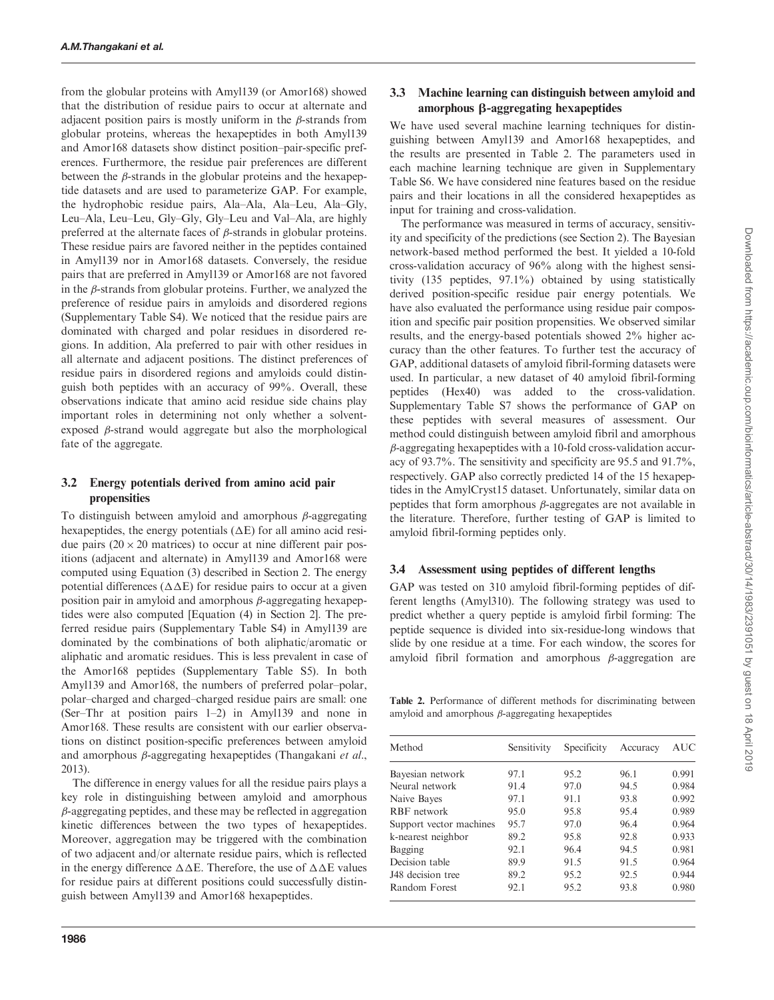from the globular proteins with Amyl139 (or Amor168) showed that the distribution of residue pairs to occur at alternate and adjacent position pairs is mostly uniform in the  $\beta$ -strands from globular proteins, whereas the hexapeptides in both Amyl139 and Amor168 datasets show distinct position–pair-specific preferences. Furthermore, the residue pair preferences are different between the  $\beta$ -strands in the globular proteins and the hexapeptide datasets and are used to parameterize GAP. For example, the hydrophobic residue pairs, Ala–Ala, Ala–Leu, Ala–Gly, Leu–Ala, Leu–Leu, Gly–Gly, Gly–Leu and Val–Ala, are highly preferred at the alternate faces of  $\beta$ -strands in globular proteins. These residue pairs are favored neither in the peptides contained in Amyl139 nor in Amor168 datasets. Conversely, the residue pairs that are preferred in Amyl139 or Amor168 are not favored in the  $\beta$ -strands from globular proteins. Further, we analyzed the preference of residue pairs in amyloids and disordered regions [\(Supplementary Table S4\)](http://bioinformatics.oxfordjournals.org/lookup/suppl/doi:10.1093/bioinformatics/btu167/-/DC1). We noticed that the residue pairs are dominated with charged and polar residues in disordered regions. In addition, Ala preferred to pair with other residues in all alternate and adjacent positions. The distinct preferences of residue pairs in disordered regions and amyloids could distinguish both peptides with an accuracy of 99%. Overall, these observations indicate that amino acid residue side chains play important roles in determining not only whether a solventexposed  $\beta$ -strand would aggregate but also the morphological fate of the aggregate.

## 3.2 Energy potentials derived from amino acid pair propensities

To distinguish between amyloid and amorphous  $\beta$ -aggregating hexapeptides, the energy potentials  $(\Delta E)$  for all amino acid residue pairs  $(20 \times 20$  matrices) to occur at nine different pair positions (adjacent and alternate) in Amyl139 and Amor168 were computed using [Equation \(3\)](#page-2-0) described in Section 2. The energy potential differences  $(\Delta \Delta E)$  for residue pairs to occur at a given position pair in amyloid and amorphous  $\beta$ -aggregating hexapeptides were also computed [\[Equation \(4\)](#page-2-0) in Section 2]. The preferred residue pairs [\(Supplementary Table S4\)](http://bioinformatics.oxfordjournals.org/lookup/suppl/doi:10.1093/bioinformatics/btu167/-/DC1) in Amyl139 are dominated by the combinations of both aliphatic/aromatic or aliphatic and aromatic residues. This is less prevalent in case of the Amor168 peptides ([Supplementary Table S5](http://bioinformatics.oxfordjournals.org/lookup/suppl/doi:10.1093/bioinformatics/btu167/-/DC1)). In both Amyl139 and Amor168, the numbers of preferred polar–polar, polar–charged and charged–charged residue pairs are small: one (Ser–Thr at position pairs 1–2) in Amyl139 and none in Amor168. These results are consistent with our earlier observations on distinct position-specific preferences between amyloid and amorphous  $\beta$ -aggregating hexapeptides ([Thangakani](#page-7-0) et al., [2013\)](#page-7-0).

The difference in energy values for all the residue pairs plays a key role in distinguishing between amyloid and amorphous  $\beta$ -aggregating peptides, and these may be reflected in aggregation kinetic differences between the two types of hexapeptides. Moreover, aggregation may be triggered with the combination of two adjacent and/or alternate residue pairs, which is reflected in the energy difference  $\Delta \Delta E$ . Therefore, the use of  $\Delta \Delta E$  values for residue pairs at different positions could successfully distinguish between Amyl139 and Amor168 hexapeptides.

# 3.3 Machine learning can distinguish between amyloid and amorphous  $\beta$ -aggregating hexapeptides

We have used several machine learning techniques for distinguishing between Amyl139 and Amor168 hexapeptides, and the results are presented in Table 2. The parameters used in each machine learning technique are given in [Supplementary](http://bioinformatics.oxfordjournals.org/lookup/suppl/doi:10.1093/bioinformatics/btu167/-/DC1) [Table S6](http://bioinformatics.oxfordjournals.org/lookup/suppl/doi:10.1093/bioinformatics/btu167/-/DC1). We have considered nine features based on the residue pairs and their locations in all the considered hexapeptides as input for training and cross-validation.

The performance was measured in terms of accuracy, sensitivity and specificity of the predictions (see Section 2). The Bayesian network-based method performed the best. It yielded a 10-fold cross-validation accuracy of 96% along with the highest sensitivity (135 peptides, 97.1%) obtained by using statistically derived position-specific residue pair energy potentials. We have also evaluated the performance using residue pair composition and specific pair position propensities. We observed similar results, and the energy-based potentials showed 2% higher accuracy than the other features. To further test the accuracy of GAP, additional datasets of amyloid fibril-forming datasets were used. In particular, a new dataset of 40 amyloid fibril-forming peptides (Hex40) was added to the cross-validation. [Supplementary Table S7](http://bioinformatics.oxfordjournals.org/lookup/suppl/doi:10.1093/bioinformatics/btu167/-/DC1) shows the performance of GAP on these peptides with several measures of assessment. Our method could distinguish between amyloid fibril and amorphous  $\beta$ -aggregating hexapeptides with a 10-fold cross-validation accuracy of 93.7%. The sensitivity and specificity are 95.5 and 91.7%, respectively. GAP also correctly predicted 14 of the 15 hexapeptides in the AmylCryst15 dataset. Unfortunately, similar data on peptides that form amorphous  $\beta$ -aggregates are not available in the literature. Therefore, further testing of GAP is limited to amyloid fibril-forming peptides only.

# 3.4 Assessment using peptides of different lengths

GAP was tested on 310 amyloid fibril-forming peptides of different lengths (Amyl310). The following strategy was used to predict whether a query peptide is amyloid firbil forming: The peptide sequence is divided into six-residue-long windows that slide by one residue at a time. For each window, the scores for amyloid fibril formation and amorphous  $\beta$ -aggregation are

Table 2. Performance of different methods for discriminating between amyloid and amorphous  $\beta$ -aggregating hexapeptides

| Method                  | Sensitivity | Specificity | Accuracy | AUC   |  |
|-------------------------|-------------|-------------|----------|-------|--|
| Bayesian network        | 97.1        | 95.2        | 96.1     | 0.991 |  |
| Neural network          | 91.4        | 97.0        | 94.5     | 0.984 |  |
| Naive Bayes             | 97.1        | 91.1        | 93.8     | 0.992 |  |
| RBF network             | 95.0        | 95.8        | 95.4     | 0.989 |  |
| Support vector machines | 95.7        | 97.0        | 96.4     | 0.964 |  |
| k-nearest neighbor      | 89.2        | 95.8        | 92.8     | 0.933 |  |
| Bagging                 | 92.1        | 96.4        | 94.5     | 0.981 |  |
| Decision table          | 89.9        | 91.5        | 91.5     | 0.964 |  |
| J48 decision tree       | 89.2        | 95.2        | 92.5     | 0.944 |  |
| Random Forest           | 92.1        | 95.2        | 93.8     | 0.980 |  |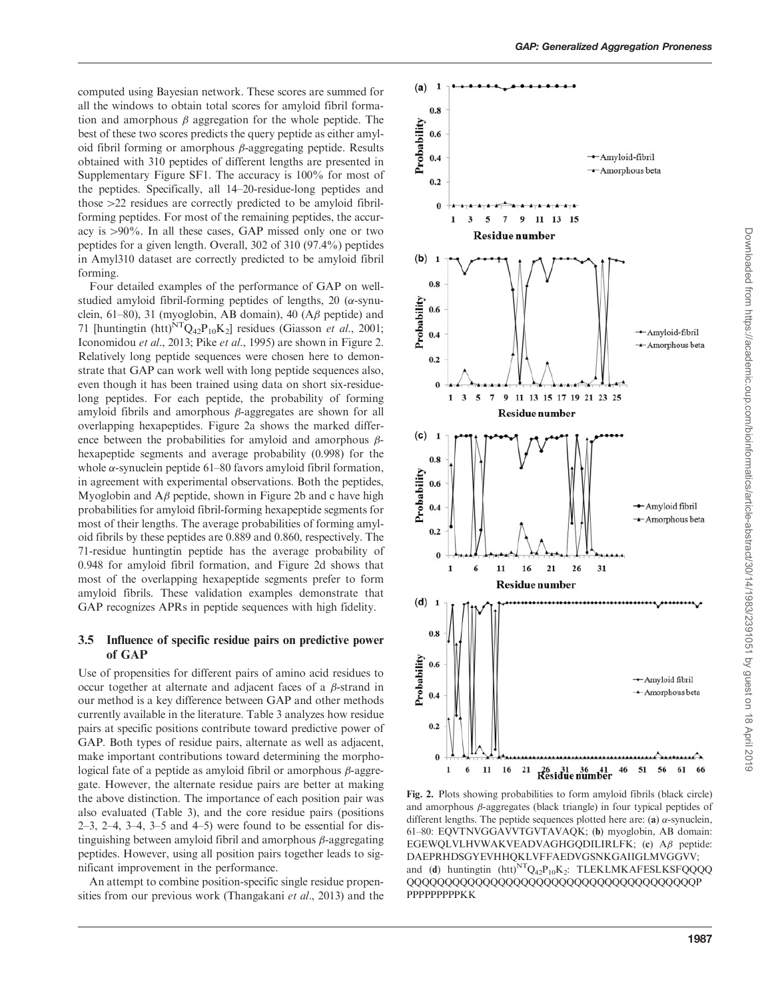computed using Bayesian network. These scores are summed for all the windows to obtain total scores for amyloid fibril formation and amorphous  $\beta$  aggregation for the whole peptide. The best of these two scores predicts the query peptide as either amyloid fibril forming or amorphous  $\beta$ -aggregating peptide. Results obtained with 310 peptides of different lengths are presented in [Supplementary Figure SF1.](http://bioinformatics.oxfordjournals.org/lookup/suppl/doi:10.1093/bioinformatics/btu167/-/DC1) The accuracy is 100% for most of the peptides. Specifically, all 14–20-residue-long peptides and those  $>22$  residues are correctly predicted to be amyloid fibrilforming peptides. For most of the remaining peptides, the accuracy is  $>90\%$ . In all these cases, GAP missed only one or two peptides for a given length. Overall, 302 of 310 (97.4%) peptides in Amyl310 dataset are correctly predicted to be amyloid fibril forming.

Four detailed examples of the performance of GAP on wellstudied amyloid fibril-forming peptides of lengths, 20 ( $\alpha$ -synuclein, 61–80), 31 (myoglobin, AB domain), 40 ( $\mathbf{A}\boldsymbol{\beta}$  peptide) and 71 [huntingtin (htt)<sup>NT</sup>Q<sub>42</sub>P<sub>10</sub>K<sub>2</sub>] residues [\(Giasson](#page-7-0) *et al.*, 2001; [Iconomidou](#page-7-0) et al., 2013; Pike et al.[, 1995](#page-7-0)) are shown in Figure 2. Relatively long peptide sequences were chosen here to demonstrate that GAP can work well with long peptide sequences also, even though it has been trained using data on short six-residuelong peptides. For each peptide, the probability of forming amyloid fibrils and amorphous  $\beta$ -aggregates are shown for all overlapping hexapeptides. Figure 2a shows the marked difference between the probabilities for amyloid and amorphous  $\beta$ hexapeptide segments and average probability (0.998) for the whole  $\alpha$ -synuclein peptide 61–80 favors amyloid fibril formation, in agreement with experimental observations. Both the peptides, Myoglobin and  $A\beta$  peptide, shown in Figure 2b and c have high probabilities for amyloid fibril-forming hexapeptide segments for most of their lengths. The average probabilities of forming amyloid fibrils by these peptides are 0.889 and 0.860, respectively. The 71-residue huntingtin peptide has the average probability of 0.948 for amyloid fibril formation, and Figure 2d shows that most of the overlapping hexapeptide segments prefer to form amyloid fibrils. These validation examples demonstrate that GAP recognizes APRs in peptide sequences with high fidelity.

#### 3.5 Influence of specific residue pairs on predictive power of GAP

Use of propensities for different pairs of amino acid residues to occur together at alternate and adjacent faces of a  $\beta$ -strand in our method is a key difference between GAP and other methods currently available in the literature. [Table 3](#page-5-0) analyzes how residue pairs at specific positions contribute toward predictive power of GAP. Both types of residue pairs, alternate as well as adjacent, make important contributions toward determining the morphological fate of a peptide as amyloid fibril or amorphous  $\beta$ -aggregate. However, the alternate residue pairs are better at making the above distinction. The importance of each position pair was also evaluated [\(Table 3\)](#page-5-0), and the core residue pairs (positions 2–3, 2–4, 3–4, 3–5 and 4–5) were found to be essential for distinguishing between amyloid fibril and amorphous  $\beta$ -aggregating peptides. However, using all position pairs together leads to significant improvement in the performance.

An attempt to combine position-specific single residue propen-sities from our previous work [\(Thangakani](#page-7-0) et al., 2013) and the



Fig. 2. Plots showing probabilities to form amyloid fibrils (black circle) and amorphous  $\beta$ -aggregates (black triangle) in four typical peptides of different lengths. The peptide sequences plotted here are: (a)  $\alpha$ -synuclein, 61–80: EQVTNVGGAVVTGVTAVAQK; (b) myoglobin, AB domain:  $EGEWQLVLHVWAKVEADVAGHGQDILIRLFK; (c)$  A $\beta$  peptide: DAEPRHDSGYEVHHQKLVFFAEDVGSNKGAIIGLMVGGVV; and (d) huntingtin  $(htt)^{NT}Q_{42}P_{10}K_2$ : TLEKLMKAFESLKSFQQQQ QQQQQQQQQQQQQQQQQQQQQQQQQQQQQQQQQQQQQQP **PPPPPPPPPKK**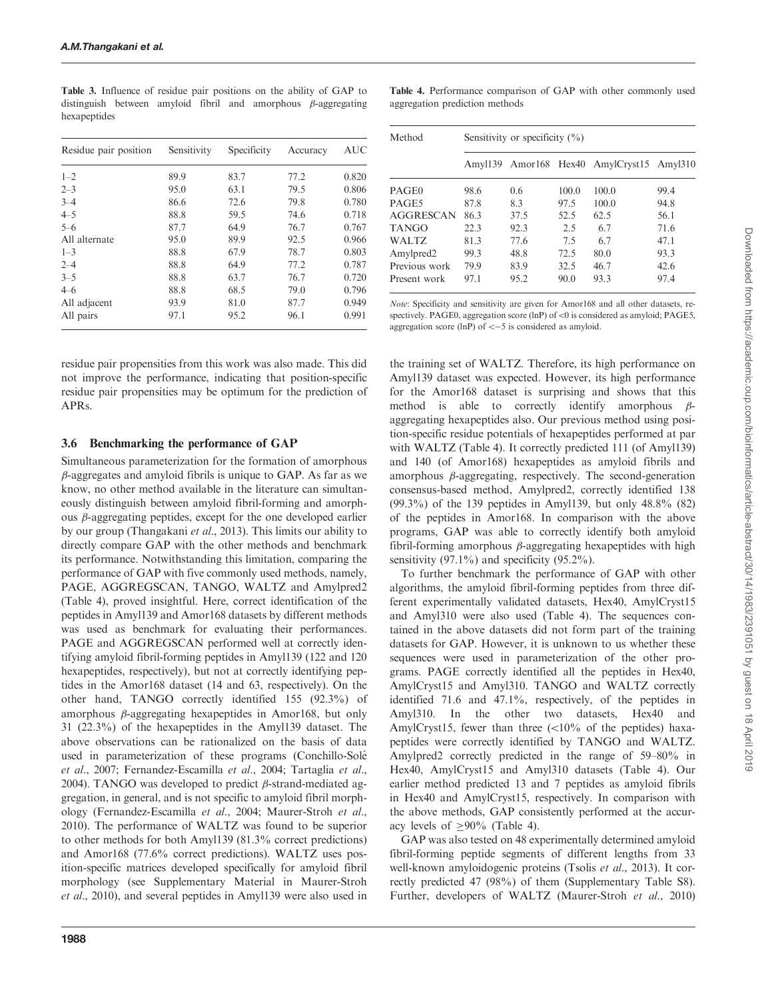| Residue pair position | Sensitivity | Specificity | Accuracy | AUC   |
|-----------------------|-------------|-------------|----------|-------|
| $1 - 2$               | 89.9        | 83.7        | 77.2     | 0.820 |
| $2 - 3$               | 95.0        | 63.1        | 79.5     | 0.806 |
| $3 - 4$               | 86.6        | 72.6        | 79.8     | 0.780 |
| $4 - 5$               | 88.8        | 59.5        | 74.6     | 0.718 |
| $5 - 6$               | 87.7        | 64.9        | 76.7     | 0.767 |
| All alternate         | 95.0        | 89.9        | 92.5     | 0.966 |
| $1 - 3$               | 88.8        | 67.9        | 78.7     | 0.803 |
| $2 - 4$               | 88.8        | 64.9        | 77.2     | 0.787 |
| $3 - 5$               | 88.8        | 63.7        | 76.7     | 0.720 |
| $4 - 6$               | 88.8        | 68.5        | 79.0     | 0.796 |
| All adjacent          | 93.9        | 81.0        | 87.7     | 0.949 |
| All pairs             | 97.1        | 95.2        | 96.1     | 0.991 |

<span id="page-5-0"></span>Table 3. Influence of residue pair positions on the ability of GAP to distinguish between amyloid fibril and amorphous  $\beta$ -aggregating hexapeptides

residue pair propensities from this work was also made. This did not improve the performance, indicating that position-specific residue pair propensities may be optimum for the prediction of APRs.

### 3.6 Benchmarking the performance of GAP

Simultaneous parameterization for the formation of amorphous  $\beta$ -aggregates and amyloid fibrils is unique to GAP. As far as we know, no other method available in the literature can simultaneously distinguish between amyloid fibril-forming and amorphous  $\beta$ -aggregating peptides, except for the one developed earlier by our group [\(Thangakani](#page-7-0) et al., 2013). This limits our ability to directly compare GAP with the other methods and benchmark its performance. Notwithstanding this limitation, comparing the performance of GAP with five commonly used methods, namely, PAGE, AGGREGSCAN, TANGO, WALTZ and Amylpred2 (Table 4), proved insightful. Here, correct identification of the peptides in Amyl139 and Amor168 datasets by different methods was used as benchmark for evaluating their performances. PAGE and AGGREGSCAN performed well at correctly identifying amyloid fibril-forming peptides in Amyl139 (122 and 120 hexapeptides, respectively), but not at correctly identifying peptides in the Amor168 dataset (14 and 63, respectively). On the other hand, TANGO correctly identified 155 (92.3%) of amorphous  $\beta$ -aggregating hexapeptides in Amor168, but only 31 (22.3%) of the hexapeptides in the Amyl139 dataset. The above observations can be rationalized on the basis of data used in parameterization of these programs [\(Conchillo-Sole´](#page-7-0) et al[., 2007; Fernandez-Escamilla](#page-7-0) et al., 2004; [Tartaglia](#page-7-0) et al., [2004\)](#page-7-0). TANGO was developed to predict  $\beta$ -strand-mediated aggregation, in general, and is not specific to amyloid fibril morphology ([Fernandez-Escamilla](#page-7-0) et al., 2004; [Maurer-Stroh](#page-7-0) et al., [2010\)](#page-7-0). The performance of WALTZ was found to be superior to other methods for both Amyl139 (81.3% correct predictions) and Amor168 (77.6% correct predictions). WALTZ uses position-specific matrices developed specifically for amyloid fibril morphology (see Supplementary Material in [Maurer-Stroh](#page-7-0) et al.[, 2010](#page-7-0)), and several peptides in Amyl139 were also used in

Table 4. Performance comparison of GAP with other commonly used aggregation prediction methods

| Method                | Sensitivity or specificity $(\% )$ |      |       |                                   |      |  |
|-----------------------|------------------------------------|------|-------|-----------------------------------|------|--|
|                       | Amvl139                            |      |       | Amor168 Hex40 AmylCryst15 Amyl310 |      |  |
| PAGE <sub>0</sub>     | 98.6                               | 0.6  | 100.0 | 100.0                             | 99.4 |  |
| PAGE5                 | 87.8                               | 8.3  | 97.5  | 100.0                             | 94.8 |  |
| <b>AGGRESCAN</b>      | 863                                | 37.5 | 52.5  | 62.5                              | 56.1 |  |
| <b>TANGO</b>          | 22.3                               | 92.3 | 2.5   | 67                                | 71.6 |  |
| WALTZ.                | 813                                | 77.6 | 7.5   | 67                                | 47.1 |  |
| Amylpred <sub>2</sub> | 99.3                               | 48.8 | 72.5  | 80.0                              | 93.3 |  |
| Previous work         | 79.9                               | 83.9 | 32.5  | 46.7                              | 42.6 |  |
| Present work          | 97.1                               | 95.2 | 90.0  | 93.3                              | 97.4 |  |

Note: Specificity and sensitivity are given for Amor168 and all other datasets, respectively. PAGE0, aggregation score (lnP) of  $<$ 0 is considered as amyloid; PAGE5, aggregation score (lnP) of  $<-5$  is considered as amyloid.

the training set of WALTZ. Therefore, its high performance on Amyl139 dataset was expected. However, its high performance for the Amor168 dataset is surprising and shows that this method is able to correctly identify amorphous  $\beta$ aggregating hexapeptides also. Our previous method using position-specific residue potentials of hexapeptides performed at par with WALTZ (Table 4). It correctly predicted 111 (of Amyl139) and 140 (of Amor168) hexapeptides as amyloid fibrils and amorphous  $\beta$ -aggregating, respectively. The second-generation consensus-based method, Amylpred2, correctly identified 138 (99.3%) of the 139 peptides in Amyl139, but only 48.8% (82) of the peptides in Amor168. In comparison with the above programs, GAP was able to correctly identify both amyloid fibril-forming amorphous  $\beta$ -aggregating hexapeptides with high sensitivity  $(97.1\%)$  and specificity  $(95.2\%)$ .

To further benchmark the performance of GAP with other algorithms, the amyloid fibril-forming peptides from three different experimentally validated datasets, Hex40, AmylCryst15 and Amyl310 were also used (Table 4). The sequences contained in the above datasets did not form part of the training datasets for GAP. However, it is unknown to us whether these sequences were used in parameterization of the other programs. PAGE correctly identified all the peptides in Hex40, AmylCryst15 and Amyl310. TANGO and WALTZ correctly identified 71.6 and 47.1%, respectively, of the peptides in Amyl310. In the other two datasets, Hex40 and AmylCryst15, fewer than three  $\left($ <10% of the peptides) haxapeptides were correctly identified by TANGO and WALTZ. Amylpred2 correctly predicted in the range of 59–80% in Hex40, AmylCryst15 and Amyl310 datasets (Table 4). Our earlier method predicted 13 and 7 peptides as amyloid fibrils in Hex40 and AmylCryst15, respectively. In comparison with the above methods, GAP consistently performed at the accuracy levels of  $\geq 90\%$  (Table 4).

GAP was also tested on 48 experimentally determined amyloid fibril-forming peptide segments of different lengths from 33 well-known amyloidogenic proteins (Tsolis et al.[, 2013](#page-7-0)). It correctly predicted 47 (98%) of them [\(Supplementary Table S8](http://bioinformatics.oxfordjournals.org/lookup/suppl/doi:10.1093/bioinformatics/btu167/-/DC1)). Further, developers of WALTZ [\(Maurer-Stroh](#page-7-0) et al., 2010)

Downloaded from https://academic.oup.com/bioinformatics/article-abstract/30/14/1983/2391051 by guest on 18 April 2019 Downloaded from https://academic.oup.com/bioinformatics/article-abstract/30/14/1983/2391051 by guest on 18 April 2019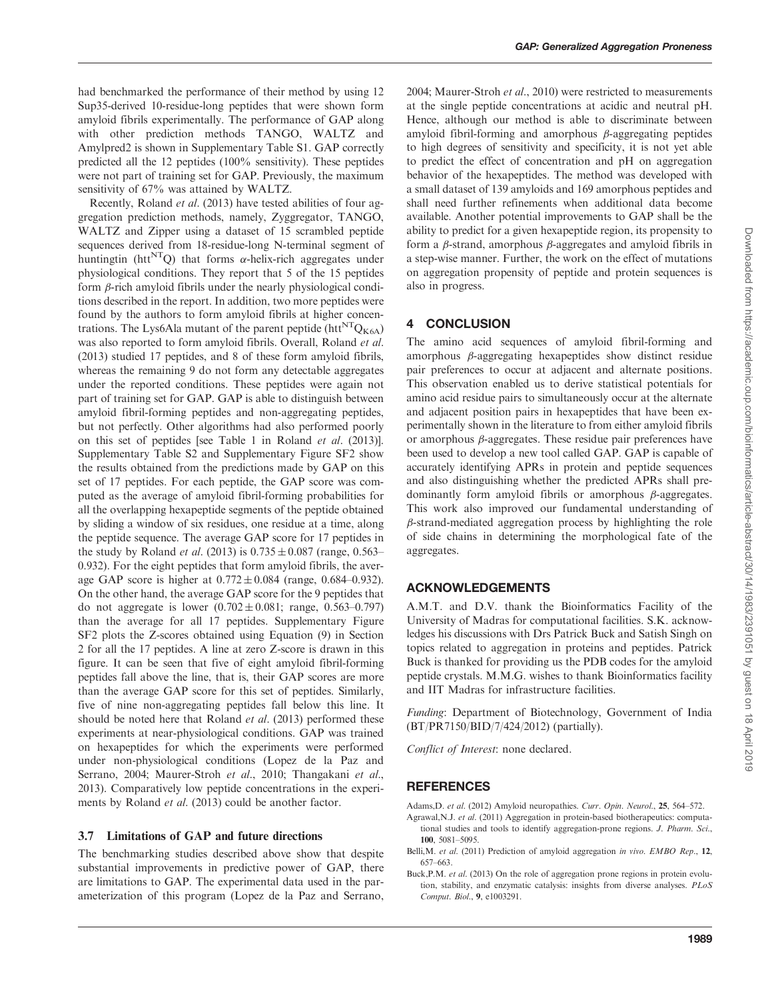<span id="page-6-0"></span>had benchmarked the performance of their method by using 12 Sup35-derived 10-residue-long peptides that were shown form amyloid fibrils experimentally. The performance of GAP along with other prediction methods TANGO, WALTZ and Amylpred2 is shown in [Supplementary Table S1](http://bioinformatics.oxfordjournals.org/lookup/suppl/doi:10.1093/bioinformatics/btu167/-/DC1). GAP correctly predicted all the 12 peptides (100% sensitivity). These peptides were not part of training set for GAP. Previously, the maximum sensitivity of 67% was attained by WALTZ.

Recently, [Roland](#page-7-0) *et al.* (2013) have tested abilities of four aggregation prediction methods, namely, Zyggregator, TANGO, WALTZ and Zipper using a dataset of 15 scrambled peptide sequences derived from 18-residue-long N-terminal segment of huntingtin (htt<sup>NT</sup>Q) that forms  $\alpha$ -helix-rich aggregates under physiological conditions. They report that 5 of the 15 peptides form  $\beta$ -rich amyloid fibrils under the nearly physiological conditions described in the report. In addition, two more peptides were found by the authors to form amyloid fibrils at higher concentrations. The Lys6Ala mutant of the parent peptide (htt<sup>NT</sup>Q<sub>K6A</sub>) was also reported to form amyloid fibrils. Overall, [Roland](#page-7-0) et al. [\(2013\)](#page-7-0) studied 17 peptides, and 8 of these form amyloid fibrils, whereas the remaining 9 do not form any detectable aggregates under the reported conditions. These peptides were again not part of training set for GAP. GAP is able to distinguish between amyloid fibril-forming peptides and non-aggregating peptides, but not perfectly. Other algorithms had also performed poorly on this set of peptides [see Table 1 in [Roland](#page-7-0) et al. (2013)]. [Supplementary Table S2](http://bioinformatics.oxfordjournals.org/lookup/suppl/doi:10.1093/bioinformatics/btu167/-/DC1) and [Supplementary Figure SF2](http://bioinformatics.oxfordjournals.org/lookup/suppl/doi:10.1093/bioinformatics/btu167/-/DC1) show the results obtained from the predictions made by GAP on this set of 17 peptides. For each peptide, the GAP score was computed as the average of amyloid fibril-forming probabilities for all the overlapping hexapeptide segments of the peptide obtained by sliding a window of six residues, one residue at a time, along the peptide sequence. The average GAP score for 17 peptides in the study by [Roland](#page-7-0) *et al.* (2013) is  $0.735 \pm 0.087$  (range, 0.563– 0.932). For the eight peptides that form amyloid fibrils, the average GAP score is higher at  $0.772 \pm 0.084$  (range, 0.684–0.932). On the other hand, the average GAP score for the 9 peptides that do not aggregate is lower  $(0.702 \pm 0.081$ ; range, 0.563–0.797) than the average for all 17 peptides. [Supplementary Figure](http://bioinformatics.oxfordjournals.org/lookup/suppl/doi:10.1093/bioinformatics/btu167/-/DC1) [SF2](http://bioinformatics.oxfordjournals.org/lookup/suppl/doi:10.1093/bioinformatics/btu167/-/DC1) plots the Z-scores obtained using [Equation \(9\)](#page-2-0) in Section 2 for all the 17 peptides. A line at zero Z-score is drawn in this figure. It can be seen that five of eight amyloid fibril-forming peptides fall above the line, that is, their GAP scores are more than the average GAP score for this set of peptides. Similarly, five of nine non-aggregating peptides fall below this line. It should be noted here that [Roland](#page-7-0) et al. (2013) performed these experiments at near-physiological conditions. GAP was trained on hexapeptides for which the experiments were performed under non-physiological conditions [\(Lopez de la Paz and](#page-7-0) [Serrano, 2004; Maurer-Stroh](#page-7-0) et al., 2010; [Thangakani](#page-7-0) et al., [2013](#page-7-0)). Comparatively low peptide concentrations in the experi-ments by [Roland](#page-7-0) *et al.* (2013) could be another factor.

#### 3.7 Limitations of GAP and future directions

The benchmarking studies described above show that despite substantial improvements in predictive power of GAP, there are limitations to GAP. The experimental data used in the parameterization of this program [\(Lopez de la Paz and Serrano,](#page-7-0)

[2004](#page-7-0); [Maurer-Stroh](#page-7-0) et al., 2010) were restricted to measurements at the single peptide concentrations at acidic and neutral pH. Hence, although our method is able to discriminate between amyloid fibril-forming and amorphous  $\beta$ -aggregating peptides to high degrees of sensitivity and specificity, it is not yet able to predict the effect of concentration and pH on aggregation behavior of the hexapeptides. The method was developed with a small dataset of 139 amyloids and 169 amorphous peptides and shall need further refinements when additional data become available. Another potential improvements to GAP shall be the ability to predict for a given hexapeptide region, its propensity to form a  $\beta$ -strand, amorphous  $\beta$ -aggregates and amyloid fibrils in a step-wise manner. Further, the work on the effect of mutations on aggregation propensity of peptide and protein sequences is also in progress.

# 4 CONCLUSION

The amino acid sequences of amyloid fibril-forming and amorphous  $\beta$ -aggregating hexapeptides show distinct residue pair preferences to occur at adjacent and alternate positions. This observation enabled us to derive statistical potentials for amino acid residue pairs to simultaneously occur at the alternate and adjacent position pairs in hexapeptides that have been experimentally shown in the literature to from either amyloid fibrils or amorphous  $\beta$ -aggregates. These residue pair preferences have been used to develop a new tool called GAP. GAP is capable of accurately identifying APRs in protein and peptide sequences and also distinguishing whether the predicted APRs shall predominantly form amyloid fibrils or amorphous  $\beta$ -aggregates. This work also improved our fundamental understanding of  $\beta$ -strand-mediated aggregation process by highlighting the role of side chains in determining the morphological fate of the aggregates.

### ACKNOWLEDGEMENTS

A.M.T. and D.V. thank the Bioinformatics Facility of the University of Madras for computational facilities. S.K. acknowledges his discussions with Drs Patrick Buck and Satish Singh on topics related to aggregation in proteins and peptides. Patrick Buck is thanked for providing us the PDB codes for the amyloid peptide crystals. M.M.G. wishes to thank Bioinformatics facility and IIT Madras for infrastructure facilities.

Funding: Department of Biotechnology, Government of India (BT/PR7150/BID/7/424/2012) (partially).

Conflict of Interest: none declared.

### **REFERENCES**

Adams, D. et al. (2012) Amyloid neuropathies. Curr. Opin. Neurol., 25, 564-572.

- Agrawal,N.J. et al. (2011) Aggregation in protein-based biotherapeutics: computational studies and tools to identify aggregation-prone regions. J. Pharm. Sci., 100, 5081–5095.
- Belli, M. et al. (2011) Prediction of amyloid aggregation in vivo. EMBO Rep., 12, 657–663.
- Buck,P.M. et al. (2013) On the role of aggregation prone regions in protein evolution, stability, and enzymatic catalysis: insights from diverse analyses. PLoS Comput. Biol., 9, e1003291.